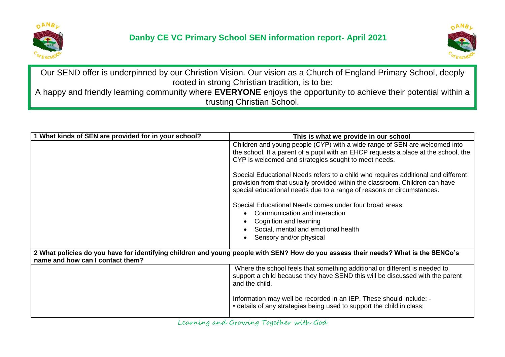



Our SEND offer is underpinned by our Christion Vision. Our vision as a Church of England Primary School, deeply rooted in strong Christian tradition, is to be: A happy and friendly learning community where **EVERYONE** enjoys the opportunity to achieve their potential within a

trusting Christian School.

| 1 What kinds of SEN are provided for in your school?                                                                                                                   | This is what we provide in our school                                                                                                                                                                                                      |  |
|------------------------------------------------------------------------------------------------------------------------------------------------------------------------|--------------------------------------------------------------------------------------------------------------------------------------------------------------------------------------------------------------------------------------------|--|
|                                                                                                                                                                        | Children and young people (CYP) with a wide range of SEN are welcomed into<br>the school. If a parent of a pupil with an EHCP requests a place at the school, the<br>CYP is welcomed and strategies sought to meet needs.                  |  |
|                                                                                                                                                                        | Special Educational Needs refers to a child who requires additional and different<br>provision from that usually provided within the classroom. Children can have<br>special educational needs due to a range of reasons or circumstances. |  |
|                                                                                                                                                                        | Special Educational Needs comes under four broad areas:<br>Communication and interaction<br>Cognition and learning<br>Social, mental and emotional health<br>Sensory and/or physical                                                       |  |
| 2 What policies do you have for identifying children and young people with SEN? How do you assess their needs? What is the SENCo's<br>name and how can I contact them? |                                                                                                                                                                                                                                            |  |
|                                                                                                                                                                        | Where the school feels that something additional or different is needed to<br>support a child because they have SEND this will be discussed with the parent<br>and the child.                                                              |  |
|                                                                                                                                                                        | Information may well be recorded in an IEP. These should include: -<br>• details of any strategies being used to support the child in class;                                                                                               |  |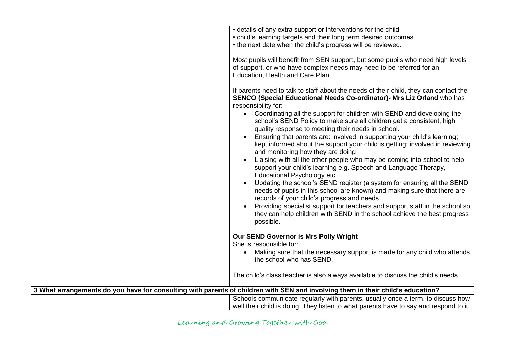|                                                                                                                                 | • details of any extra support or interventions for the child                                                                                                                                                      |  |
|---------------------------------------------------------------------------------------------------------------------------------|--------------------------------------------------------------------------------------------------------------------------------------------------------------------------------------------------------------------|--|
|                                                                                                                                 | • child's learning targets and their long term desired outcomes                                                                                                                                                    |  |
|                                                                                                                                 | • the next date when the child's progress will be reviewed.                                                                                                                                                        |  |
|                                                                                                                                 |                                                                                                                                                                                                                    |  |
|                                                                                                                                 | Most pupils will benefit from SEN support, but some pupils who need high levels<br>of support, or who have complex needs may need to be referred for an<br>Education, Health and Care Plan.                        |  |
|                                                                                                                                 | If parents need to talk to staff about the needs of their child, they can contact the<br>SENCO (Special Educational Needs Co-ordinator)- Mrs Liz Orland who has<br>responsibility for:                             |  |
|                                                                                                                                 | Coordinating all the support for children with SEND and developing the<br>$\bullet$<br>school's SEND Policy to make sure all children get a consistent, high<br>quality response to meeting their needs in school. |  |
|                                                                                                                                 | Ensuring that parents are: involved in supporting your child's learning;<br>kept informed about the support your child is getting; involved in reviewing<br>and monitoring how they are doing                      |  |
|                                                                                                                                 | Liaising with all the other people who may be coming into school to help<br>support your child's learning e.g. Speech and Language Therapy,<br>Educational Psychology etc.                                         |  |
|                                                                                                                                 | Updating the school's SEND register (a system for ensuring all the SEND<br>needs of pupils in this school are known) and making sure that there are<br>records of your child's progress and needs.                 |  |
|                                                                                                                                 | Providing specialist support for teachers and support staff in the school so<br>they can help children with SEND in the school achieve the best progress<br>possible.                                              |  |
|                                                                                                                                 | Our SEND Governor is Mrs Polly Wright                                                                                                                                                                              |  |
|                                                                                                                                 | She is responsible for:                                                                                                                                                                                            |  |
|                                                                                                                                 | Making sure that the necessary support is made for any child who attends<br>$\bullet$<br>the school who has SEND.                                                                                                  |  |
|                                                                                                                                 | The child's class teacher is also always available to discuss the child's needs.                                                                                                                                   |  |
| 3 What arrangements do you have for consulting with parents of children with SEN and involving them in their child's education? |                                                                                                                                                                                                                    |  |
|                                                                                                                                 | Schools communicate regularly with parents, usually once a term, to discuss how                                                                                                                                    |  |
|                                                                                                                                 | well their child is doing. They listen to what parents have to say and respond to it.                                                                                                                              |  |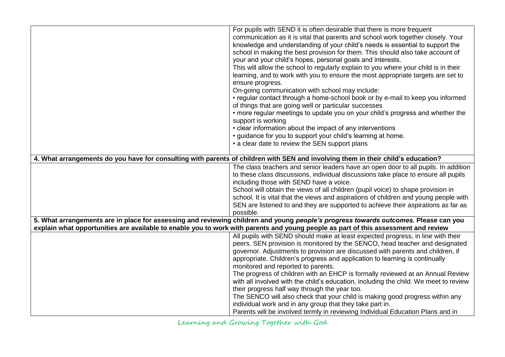|                                                                                                                                    | For pupils with SEND it is often desirable that there is more frequent                                                              |
|------------------------------------------------------------------------------------------------------------------------------------|-------------------------------------------------------------------------------------------------------------------------------------|
|                                                                                                                                    | communication as it is vital that parents and school work together closely. Your                                                    |
|                                                                                                                                    | knowledge and understanding of your child's needs is essential to support the                                                       |
|                                                                                                                                    | school in making the best provision for them. This should also take account of                                                      |
|                                                                                                                                    | your and your child's hopes, personal goals and interests.                                                                          |
|                                                                                                                                    | This will allow the school to regularly explain to you where your child is in their                                                 |
|                                                                                                                                    | learning, and to work with you to ensure the most appropriate targets are set to                                                    |
|                                                                                                                                    | ensure progress.                                                                                                                    |
|                                                                                                                                    | On-going communication with school may include:                                                                                     |
|                                                                                                                                    | • regular contact through a home-school book or by e-mail to keep you informed                                                      |
|                                                                                                                                    | of things that are going well or particular successes                                                                               |
|                                                                                                                                    | • more regular meetings to update you on your child's progress and whether the                                                      |
|                                                                                                                                    | support is working                                                                                                                  |
|                                                                                                                                    | • clear information about the impact of any interventions                                                                           |
|                                                                                                                                    | • guidance for you to support your child's learning at home.                                                                        |
|                                                                                                                                    | • a clear date to review the SEN support plans                                                                                      |
|                                                                                                                                    |                                                                                                                                     |
| 4. What arrangements do you have for consulting with parents of children with SEN and involving them in their child's education?   |                                                                                                                                     |
|                                                                                                                                    | The class teachers and senior leaders have an open door to all pupils. In addition                                                  |
|                                                                                                                                    | to these class discussions, individual discussions take place to ensure all pupils                                                  |
|                                                                                                                                    | including those with SEND have a voice.                                                                                             |
|                                                                                                                                    | School will obtain the views of all children (pupil voice) to shape provision in                                                    |
|                                                                                                                                    | school. It is vital that the views and aspirations of children and young people with                                                |
|                                                                                                                                    | SEN are listened to and they are supported to achieve their aspirations as far as                                                   |
|                                                                                                                                    | possible.                                                                                                                           |
|                                                                                                                                    | 5. What arrangements are in place for assessing and reviewing children and young people's progress towards outcomes. Please can you |
| explain what opportunities are available to enable you to work with parents and young people as part of this assessment and review |                                                                                                                                     |
|                                                                                                                                    | All pupils with SEND should make at least expected progress, in line with their                                                     |
|                                                                                                                                    | peers. SEN provision is monitored by the SENCO, head teacher and designated                                                         |
|                                                                                                                                    | governor. Adjustments to provision are discussed with parents and children, if                                                      |
|                                                                                                                                    | appropriate. Children's progress and application to learning is continually                                                         |
|                                                                                                                                    | monitored and reported to parents.                                                                                                  |
|                                                                                                                                    | The progress of children with an EHCP is formally reviewed at an Annual Review                                                      |
|                                                                                                                                    | with all involved with the child's education, including the child. We meet to review                                                |
|                                                                                                                                    | their progress half way through the year too.                                                                                       |
|                                                                                                                                    | The SENCO will also check that your child is making good progress within any                                                        |
|                                                                                                                                    | individual work and in any group that they take part in.                                                                            |
|                                                                                                                                    | Parents will be involved termly in reviewing Individual Education Plans and in                                                      |

Learning and Growing Together with God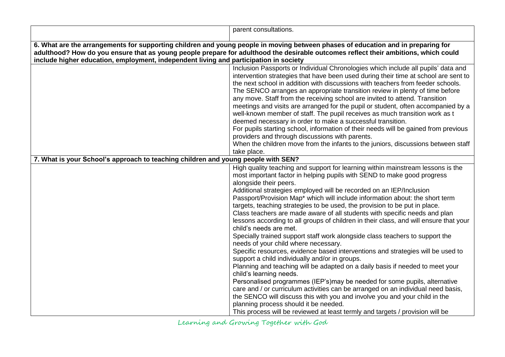|                                                                                                                                                                                                                                                                                                                                                                  | parent consultations.                                                                                                                                                                                                                                                                                                                                                                                                                                                                                                                                                                                                                                                                                                                                                                                                                                                                                                                                                                                                                                                                                                                                                                                                                                                                                                                                                         |  |
|------------------------------------------------------------------------------------------------------------------------------------------------------------------------------------------------------------------------------------------------------------------------------------------------------------------------------------------------------------------|-------------------------------------------------------------------------------------------------------------------------------------------------------------------------------------------------------------------------------------------------------------------------------------------------------------------------------------------------------------------------------------------------------------------------------------------------------------------------------------------------------------------------------------------------------------------------------------------------------------------------------------------------------------------------------------------------------------------------------------------------------------------------------------------------------------------------------------------------------------------------------------------------------------------------------------------------------------------------------------------------------------------------------------------------------------------------------------------------------------------------------------------------------------------------------------------------------------------------------------------------------------------------------------------------------------------------------------------------------------------------------|--|
| 6. What are the arrangements for supporting children and young people in moving between phases of education and in preparing for<br>adulthood? How do you ensure that as young people prepare for adulthood the desirable outcomes reflect their ambitions, which could<br>include higher education, employment, independent living and participation in society |                                                                                                                                                                                                                                                                                                                                                                                                                                                                                                                                                                                                                                                                                                                                                                                                                                                                                                                                                                                                                                                                                                                                                                                                                                                                                                                                                                               |  |
|                                                                                                                                                                                                                                                                                                                                                                  | Inclusion Passports or Individual Chronologies which include all pupils' data and<br>intervention strategies that have been used during their time at school are sent to<br>the next school in addition with discussions with teachers from feeder schools.<br>The SENCO arranges an appropriate transition review in plenty of time before<br>any move. Staff from the receiving school are invited to attend. Transition<br>meetings and visits are arranged for the pupil or student, often accompanied by a<br>well-known member of staff. The pupil receives as much transition work as t<br>deemed necessary in order to make a successful transition.<br>For pupils starting school, information of their needs will be gained from previous<br>providers and through discussions with parents.<br>When the children move from the infants to the juniors, discussions between staff<br>take place.                                                                                                                                                                                                                                                                                                                                                                                                                                                                    |  |
| 7. What is your School's approach to teaching children and young people with SEN?                                                                                                                                                                                                                                                                                |                                                                                                                                                                                                                                                                                                                                                                                                                                                                                                                                                                                                                                                                                                                                                                                                                                                                                                                                                                                                                                                                                                                                                                                                                                                                                                                                                                               |  |
|                                                                                                                                                                                                                                                                                                                                                                  | High quality teaching and support for learning within mainstream lessons is the<br>most important factor in helping pupils with SEND to make good progress<br>alongside their peers.<br>Additional strategies employed will be recorded on an IEP/Inclusion<br>Passport/Provision Map* which will include information about: the short term<br>targets, teaching strategies to be used, the provision to be put in place.<br>Class teachers are made aware of all students with specific needs and plan<br>lessons according to all groups of children in their class, and will ensure that your<br>child's needs are met.<br>Specially trained support staff work alongside class teachers to support the<br>needs of your child where necessary.<br>Specific resources, evidence based interventions and strategies will be used to<br>support a child individually and/or in groups.<br>Planning and teaching will be adapted on a daily basis if needed to meet your<br>child's learning needs.<br>Personalised programmes (IEP's) may be needed for some pupils, alternative<br>care and / or curriculum activities can be arranged on an individual need basis,<br>the SENCO will discuss this with you and involve you and your child in the<br>planning process should it be needed.<br>This process will be reviewed at least termly and targets / provision will be |  |

Learning and Growing Together with God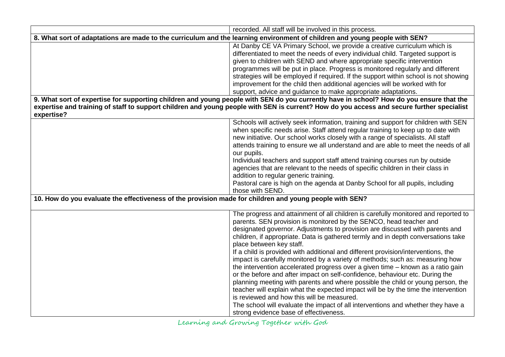|                                                                                                                            | recorded. All staff will be involved in this process.                                                                                                                                                                                                                                                                                                                                                                                                                                                                                                                                                                                                                                                                                                                                                                                                                                                                                                                                                                                                   |  |
|----------------------------------------------------------------------------------------------------------------------------|---------------------------------------------------------------------------------------------------------------------------------------------------------------------------------------------------------------------------------------------------------------------------------------------------------------------------------------------------------------------------------------------------------------------------------------------------------------------------------------------------------------------------------------------------------------------------------------------------------------------------------------------------------------------------------------------------------------------------------------------------------------------------------------------------------------------------------------------------------------------------------------------------------------------------------------------------------------------------------------------------------------------------------------------------------|--|
| 8. What sort of adaptations are made to the curriculum and the learning environment of children and young people with SEN? |                                                                                                                                                                                                                                                                                                                                                                                                                                                                                                                                                                                                                                                                                                                                                                                                                                                                                                                                                                                                                                                         |  |
|                                                                                                                            | At Danby CE VA Primary School, we provide a creative curriculum which is<br>differentiated to meet the needs of every individual child. Targeted support is<br>given to children with SEND and where appropriate specific intervention<br>programmes will be put in place. Progress is monitored regularly and different<br>strategies will be employed if required. If the support within school is not showing<br>improvement for the child then additional agencies will be worked with for<br>support, advice and guidance to make appropriate adaptations.<br>9. What sort of expertise for supporting children and young people with SEN do you currently have in school? How do you ensure that the                                                                                                                                                                                                                                                                                                                                              |  |
|                                                                                                                            | expertise and training of staff to support children and young people with SEN is current? How do you access and secure further specialist                                                                                                                                                                                                                                                                                                                                                                                                                                                                                                                                                                                                                                                                                                                                                                                                                                                                                                               |  |
| expertise?                                                                                                                 | Schools will actively seek information, training and support for children with SEN<br>when specific needs arise. Staff attend regular training to keep up to date with<br>new initiative. Our school works closely with a range of specialists. All staff<br>attends training to ensure we all understand and are able to meet the needs of all<br>our pupils.<br>Individual teachers and support staff attend training courses run by outside<br>agencies that are relevant to the needs of specific children in their class in<br>addition to regular generic training.<br>Pastoral care is high on the agenda at Danby School for all pupils, including<br>those with SEND.                                                                                                                                                                                                                                                                                                                                                                          |  |
| 10. How do you evaluate the effectiveness of the provision made for children and young people with SEN?                    |                                                                                                                                                                                                                                                                                                                                                                                                                                                                                                                                                                                                                                                                                                                                                                                                                                                                                                                                                                                                                                                         |  |
|                                                                                                                            | The progress and attainment of all children is carefully monitored and reported to<br>parents. SEN provision is monitored by the SENCO, head teacher and<br>designated governor. Adjustments to provision are discussed with parents and<br>children, if appropriate. Data is gathered termly and in depth conversations take<br>place between key staff.<br>If a child is provided with additional and different provision/interventions, the<br>impact is carefully monitored by a variety of methods; such as: measuring how<br>the intervention accelerated progress over a given time - known as a ratio gain<br>or the before and after impact on self-confidence, behaviour etc. During the<br>planning meeting with parents and where possible the child or young person, the<br>teacher will explain what the expected impact will be by the time the intervention<br>is reviewed and how this will be measured.<br>The school will evaluate the impact of all interventions and whether they have a<br>strong evidence base of effectiveness. |  |